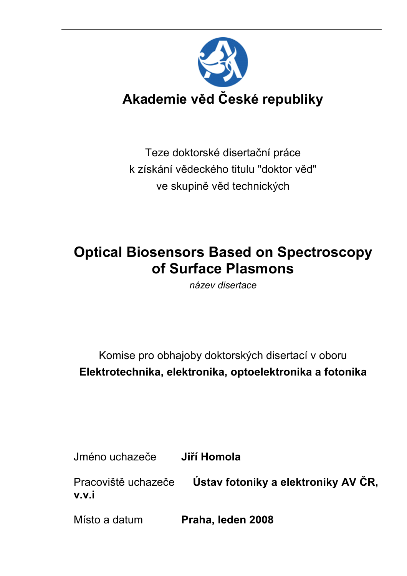

Teze doktorské disertační práce k získání vědeckého titulu "doktor věd" ve skupině věd technických

# Optical Biosensors Based on Spectroscopy of Surface Plasmons

název disertace

Komise pro obhajoby doktorských disertací v oboru Elektrotechnika, elektronika, optoelektronika a fotonika

Jméno uchazeče Jiří Homola

Pracoviště uchazeče Ústav fotoniky a elektroniky AV ČR, v.v.i

Místo a datum **Praha, leden 2008**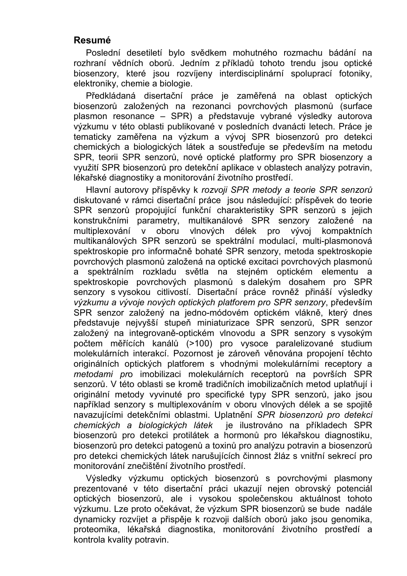#### Resumé

Poslední desetiletí bylo svědkem mohutného rozmachu bádání na rozhraní vědních oborů. Jedním z příkladů tohoto trendu jsou optické biosenzory, které jsou rozvíjeny interdisciplinární spoluprací fotoniky, elektroniky, chemie a biologie.

Předkládaná disertační práce je zaměřená na oblast optických biosenzorů založených na rezonanci povrchových plasmonů (surface plasmon resonance – SPR) a představuje vybrané výsledky autorova výzkumu v této oblasti publikované v posledních dvanácti letech. Práce je tematicky zaměřena na výzkum a vývoj SPR biosenzorů pro detekci chemických a biologických látek a soustřeďuje se především na metodu SPR, teorii SPR senzorů, nové optické platformy pro SPR biosenzory a využití SPR biosenzorů pro detekční aplikace v oblastech analýzy potravin, lékařské diagnostiky a monitorování životního prostředí.

Hlavní autorovy příspěvky k rozvoji SPR metody a teorie SPR senzorů diskutované v rámci disertační práce jsou následující: příspěvek do teorie SPR senzorů propojující funkční charakteristiky SPR senzorů s jejich konstrukčními parametry, multikanálové SPR senzory založené na multiplexování v oboru vlnových délek pro vývoj kompaktních multikanálových SPR senzorů se spektrální modulací, multi-plasmonová spektroskopie pro informačně bohaté SPR senzory, metoda spektroskopie povrchových plasmonů založená na optické excitaci povrchových plasmonů a spektrálním rozkladu světla na stejném optickém elementu a spektroskopie povrchových plasmonů s dalekým dosahem pro SPR senzory s vysokou citlivostí. Disertační práce rovněž přináší výsledky výzkumu a vývoje nových optických platforem pro SPR senzory, především SPR senzor založený na jedno-módovém optickém vlákně, který dnes představuje nejvyšší stupeň miniaturizace SPR senzorů, SPR senzor založený na integrovaně-optickém vlnovodu a SPR senzory s vysokým počtem měřících kanálů (>100) pro vysoce paralelizované studium molekulárních interakcí. Pozornost je zároveň věnována propojení těchto originálních optických platforem s vhodnými molekulárními receptory a metodami pro imobilizaci molekulárních receptorů na površích SPR senzorů. V této oblasti se kromě tradičních imobilizačních metod uplatňují i originální metody vyvinuté pro specifické typy SPR senzorů, jako jsou například senzory s multiplexováním v oboru vlnových délek a se spojitě navazujícími detekčními oblastmi. Uplatnění SPR biosenzorů pro detekci chemických a biologických látek je ilustrováno na příkladech SPR biosenzorů pro detekci protilátek a hormonů pro lékařskou diagnostiku, biosenzorů pro detekci patogenů a toxinů pro analýzu potravin a biosenzorů pro detekci chemických látek narušujících činnost žláz s vnitřní sekrecí pro monitorování znečištění životního prostředí.

Výsledky výzkumu optických biosenzorů s povrchovými plasmony prezentované v této disertační práci ukazují nejen obrovský potenciál optických biosenzorů, ale i vysokou společenskou aktuálnost tohoto výzkumu. Lze proto očekávat, že výzkum SPR biosenzorů se bude nadále dynamicky rozvíjet a přispěje k rozvoji dalších oborů jako jsou genomika, proteomika, lékařská diagnostika, monitorování životního prostředí a kontrola kvality potravin.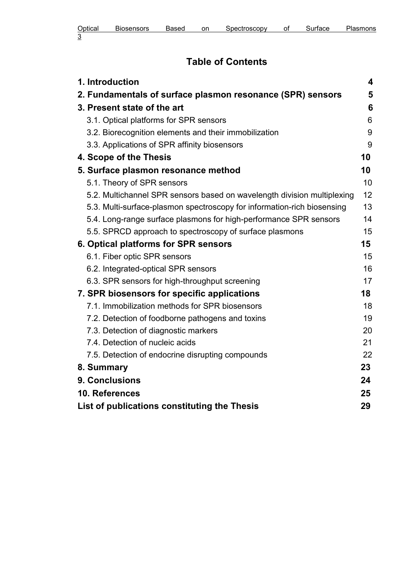# Table of Contents

| 1. Introduction                                                         | 4  |
|-------------------------------------------------------------------------|----|
| 2. Fundamentals of surface plasmon resonance (SPR) sensors              | 5  |
| 3. Present state of the art                                             | 6  |
| 3.1. Optical platforms for SPR sensors                                  | 6  |
| 3.2. Biorecognition elements and their immobilization                   | 9  |
| 3.3. Applications of SPR affinity biosensors                            | 9  |
| 4. Scope of the Thesis                                                  | 10 |
| 5. Surface plasmon resonance method                                     | 10 |
| 5.1. Theory of SPR sensors                                              | 10 |
| 5.2. Multichannel SPR sensors based on wavelength division multiplexing | 12 |
| 5.3. Multi-surface-plasmon spectroscopy for information-rich biosensing | 13 |
| 5.4. Long-range surface plasmons for high-performance SPR sensors       | 14 |
| 5.5. SPRCD approach to spectroscopy of surface plasmons                 | 15 |
| 6. Optical platforms for SPR sensors                                    | 15 |
| 6.1. Fiber optic SPR sensors                                            | 15 |
| 6.2. Integrated-optical SPR sensors                                     | 16 |
| 6.3. SPR sensors for high-throughput screening                          | 17 |
| 7. SPR biosensors for specific applications                             | 18 |
| 7.1. Immobilization methods for SPR biosensors                          | 18 |
| 7.2. Detection of foodborne pathogens and toxins                        | 19 |
| 7.3. Detection of diagnostic markers                                    | 20 |
| 7.4. Detection of nucleic acids                                         | 21 |
| 7.5. Detection of endocrine disrupting compounds                        | 22 |
| 8. Summary                                                              | 23 |
| 9. Conclusions                                                          | 24 |
| 10. References                                                          | 25 |
| List of publications constituting the Thesis                            | 29 |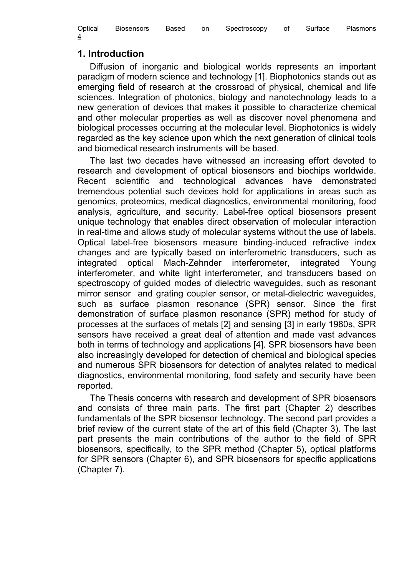| Optical | <b>Biosensors</b> | Based | on | Spectroscopy | Οt | Surtace | Plasmons |
|---------|-------------------|-------|----|--------------|----|---------|----------|
| 4       |                   |       |    |              |    |         |          |

#### 1. Introduction

Diffusion of inorganic and biological worlds represents an important paradigm of modern science and technology [1]. Biophotonics stands out as emerging field of research at the crossroad of physical, chemical and life sciences. Integration of photonics, biology and nanotechnology leads to a new generation of devices that makes it possible to characterize chemical and other molecular properties as well as discover novel phenomena and biological processes occurring at the molecular level. Biophotonics is widely regarded as the key science upon which the next generation of clinical tools and biomedical research instruments will be based.

The last two decades have witnessed an increasing effort devoted to research and development of optical biosensors and biochips worldwide. Recent scientific and technological advances have demonstrated tremendous potential such devices hold for applications in areas such as genomics, proteomics, medical diagnostics, environmental monitoring, food analysis, agriculture, and security. Label-free optical biosensors present unique technology that enables direct observation of molecular interaction in real-time and allows study of molecular systems without the use of labels. Optical label-free biosensors measure binding-induced refractive index changes and are typically based on interferometric transducers, such as integrated optical Mach-Zehnder interferometer, integrated Young interferometer, and white light interferometer, and transducers based on spectroscopy of guided modes of dielectric waveguides, such as resonant mirror sensor and grating coupler sensor, or metal-dielectric waveguides, such as surface plasmon resonance (SPR) sensor. Since the first demonstration of surface plasmon resonance (SPR) method for study of processes at the surfaces of metals [2] and sensing [3] in early 1980s, SPR sensors have received a great deal of attention and made vast advances both in terms of technology and applications [4]. SPR biosensors have been also increasingly developed for detection of chemical and biological species and numerous SPR biosensors for detection of analytes related to medical diagnostics, environmental monitoring, food safety and security have been reported.

The Thesis concerns with research and development of SPR biosensors and consists of three main parts. The first part (Chapter 2) describes fundamentals of the SPR biosensor technology. The second part provides a brief review of the current state of the art of this field (Chapter 3). The last part presents the main contributions of the author to the field of SPR biosensors, specifically, to the SPR method (Chapter 5), optical platforms for SPR sensors (Chapter 6), and SPR biosensors for specific applications (Chapter 7).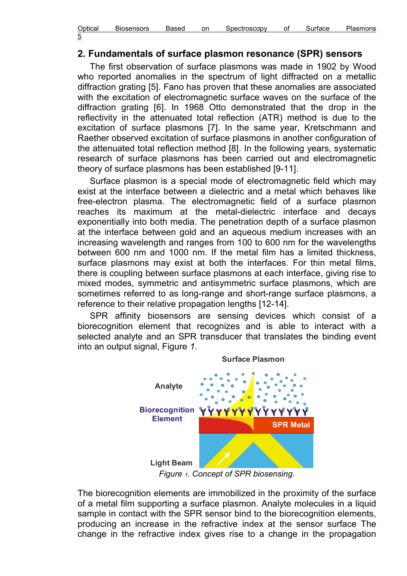| Optical          | <b>Biosensors</b> | Based | on | Spectroscopy | Surtace | Plasmons |
|------------------|-------------------|-------|----|--------------|---------|----------|
| ∽<br>ັ<br>$\sim$ |                   |       |    |              |         |          |

#### 2. Fundamentals of surface plasmon resonance (SPR) sensors

The first observation of surface plasmons was made in 1902 by Wood who reported anomalies in the spectrum of light diffracted on a metallic diffraction grating [5]. Fano has proven that these anomalies are associated with the excitation of electromagnetic surface waves on the surface of the diffraction grating [6]. In 1968 Otto demonstrated that the drop in the reflectivity in the attenuated total reflection (ATR) method is due to the excitation of surface plasmons [7]. In the same year, Kretschmann and Raether observed excitation of surface plasmons in another configuration of the attenuated total reflection method [8]. In the following years, systematic research of surface plasmons has been carried out and electromagnetic theory of surface plasmons has been established [9-11].

Surface plasmon is a special mode of electromagnetic field which may exist at the interface between a dielectric and a metal which behaves like free-electron plasma. The electromagnetic field of a surface plasmon reaches its maximum at the metal-dielectric interface and decays exponentially into both media. The penetration depth of a surface plasmon at the interface between gold and an aqueous medium increases with an increasing wavelength and ranges from 100 to 600 nm for the wavelengths between 600 nm and 1000 nm. If the metal film has a limited thickness, surface plasmons may exist at both the interfaces. For thin metal films, there is coupling between surface plasmons at each interface, giving rise to mixed modes, symmetric and antisymmetric surface plasmons, which are sometimes referred to as long-range and short-range surface plasmons, a reference to their relative propagation lengths [12-14].

SPR affinity biosensors are sensing devices which consist of a biorecognition element that recognizes and is able to interact with a selected analyte and an SPR transducer that translates the binding event into an output signal, Figure 1.



Figure 1. Concept of SPR biosensing.

The biorecognition elements are immobilized in the proximity of the surface of a metal film supporting a surface plasmon. Analyte molecules in a liquid sample in contact with the SPR sensor bind to the biorecognition elements, producing an increase in the refractive index at the sensor surface The change in the refractive index gives rise to a change in the propagation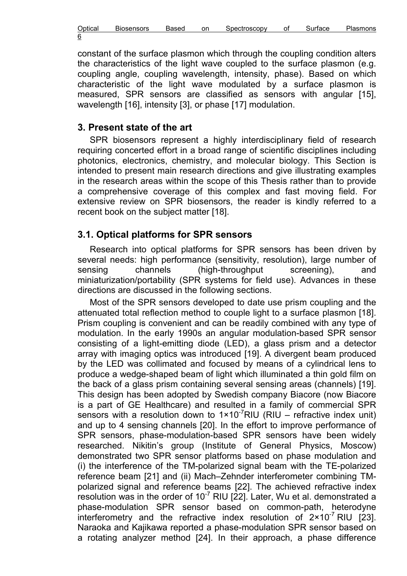| Optical     | <b>Biosensors</b> | 'ased | on | Spectroscopv | O1 | тасе | - lasmons |
|-------------|-------------------|-------|----|--------------|----|------|-----------|
| 6<br>$\sim$ |                   |       |    |              |    |      |           |

constant of the surface plasmon which through the coupling condition alters the characteristics of the light wave coupled to the surface plasmon (e.g. coupling angle, coupling wavelength, intensity, phase). Based on which characteristic of the light wave modulated by a surface plasmon is measured, SPR sensors are classified as sensors with angular [15], wavelength [16], intensity [3], or phase [17] modulation.

#### 3. Present state of the art

SPR biosensors represent a highly interdisciplinary field of research requiring concerted effort in a broad range of scientific disciplines including photonics, electronics, chemistry, and molecular biology. This Section is intended to present main research directions and give illustrating examples in the research areas within the scope of this Thesis rather than to provide a comprehensive coverage of this complex and fast moving field. For extensive review on SPR biosensors, the reader is kindly referred to a recent book on the subject matter [18].

## 3.1. Optical platforms for SPR sensors

Research into optical platforms for SPR sensors has been driven by several needs: high performance (sensitivity, resolution), large number of sensing channels (high-throughput screening), and miniaturization/portability (SPR systems for field use). Advances in these directions are discussed in the following sections.

Most of the SPR sensors developed to date use prism coupling and the attenuated total reflection method to couple light to a surface plasmon [18]. Prism coupling is convenient and can be readily combined with any type of modulation. In the early 1990s an angular modulation-based SPR sensor consisting of a light-emitting diode (LED), a glass prism and a detector array with imaging optics was introduced [19]. A divergent beam produced by the LED was collimated and focused by means of a cylindrical lens to produce a wedge-shaped beam of light which illuminated a thin gold film on the back of a glass prism containing several sensing areas (channels) [19]. This design has been adopted by Swedish company Biacore (now Biacore is a part of GE Healthcare) and resulted in a family of commercial SPR sensors with a resolution down to  $1 \times 10^{-7}$ RIU (RIU – refractive index unit) and up to 4 sensing channels [20]. In the effort to improve performance of SPR sensors, phase-modulation-based SPR sensors have been widely researched. Nikitin's group (Institute of General Physics, Moscow) demonstrated two SPR sensor platforms based on phase modulation and (i) the interference of the TM-polarized signal beam with the TE-polarized reference beam [21] and (ii) Mach–Zehnder interferometer combining TMpolarized signal and reference beams [22]. The achieved refractive index resolution was in the order of  $10^{-7}$  RIU [22]. Later, Wu et al. demonstrated a phase-modulation SPR sensor based on common-path, heterodyne interferometry and the refractive index resolution of  $2 \times 10^{-7}$  RIU [23]. Naraoka and Kajikawa reported a phase-modulation SPR sensor based on a rotating analyzer method [24]. In their approach, a phase difference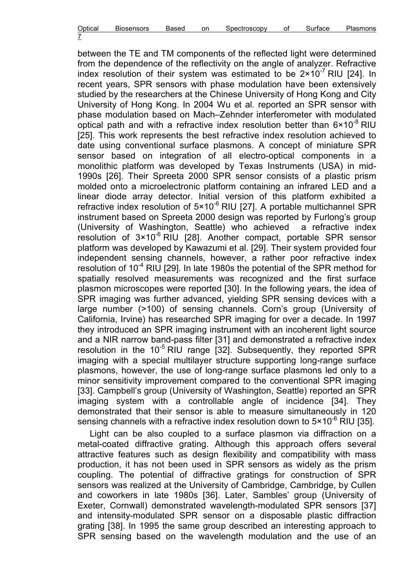| Optical | <b>Biosensors</b> | Based | on | Spectroscopy | Οl | Surface | Plasmons |
|---------|-------------------|-------|----|--------------|----|---------|----------|
| -       |                   |       |    |              |    |         |          |

between the TE and TM components of the reflected light were determined from the dependence of the reflectivity on the angle of analyzer. Refractive index resolution of their system was estimated to be  $2 \times 10^{-7}$  RIU [24]. In recent years, SPR sensors with phase modulation have been extensively studied by the researchers at the Chinese University of Hong Kong and City University of Hong Kong. In 2004 Wu et al. reported an SPR sensor with phase modulation based on Mach–Zehnder interferometer with modulated optical path and with a refractive index resolution better than  $6 \times 10^{-8}$  RIU [25]. This work represents the best refractive index resolution achieved to date using conventional surface plasmons. A concept of miniature SPR sensor based on integration of all electro-optical components in a monolithic platform was developed by Texas Instruments (USA) in mid-1990s [26]. Their Spreeta 2000 SPR sensor consists of a plastic prism molded onto a microelectronic platform containing an infrared LED and a linear diode array detector. Initial version of this platform exhibited a refractive index resolution of  $5 \times 10^{-6}$  RIU [27]. A portable multichannel SPR instrument based on Spreeta 2000 design was reported by Furlong's group (University of Washington, Seattle) who achieved a refractive index resolution of  $3 \times 10^{-6}$  RIU [28]. Another compact, portable SPR sensor platform was developed by Kawazumi et al. [29]. Their system provided four independent sensing channels, however, a rather poor refractive index resolution of  $10^{-4}$  RIU [29]. In late 1980s the potential of the SPR method for spatially resolved measurements was recognized and the first surface plasmon microscopes were reported [30]. In the following years, the idea of SPR imaging was further advanced, yielding SPR sensing devices with a large number (>100) of sensing channels. Corn's group (University of California, Irvine) has researched SPR imaging for over a decade. In 1997 they introduced an SPR imaging instrument with an incoherent light source and a NIR narrow band-pass filter [31] and demonstrated a refractive index resolution in the  $10^{-5}$  RIU range [32]. Subsequently, they reported SPR imaging with a special multilayer structure supporting long-range surface plasmons, however, the use of long-range surface plasmons led only to a minor sensitivity improvement compared to the conventional SPR imaging [33]. Campbell's group (University of Washington, Seattle) reported an SPR imaging system with a controllable angle of incidence [34]. They demonstrated that their sensor is able to measure simultaneously in 120 sensing channels with a refractive index resolution down to  $5 \times 10^{-6}$  RIU [35].

Light can be also coupled to a surface plasmon via diffraction on a metal-coated diffractive grating. Although this approach offers several attractive features such as design flexibility and compatibility with mass production, it has not been used in SPR sensors as widely as the prism coupling. The potential of diffractive gratings for construction of SPR sensors was realized at the University of Cambridge, Cambridge, by Cullen and coworkers in late 1980s [36]. Later, Sambles' group (University of Exeter, Cornwall) demonstrated wavelength-modulated SPR sensors [37] and intensity-modulated SPR sensor on a disposable plastic diffraction grating [38]. In 1995 the same group described an interesting approach to SPR sensing based on the wavelength modulation and the use of an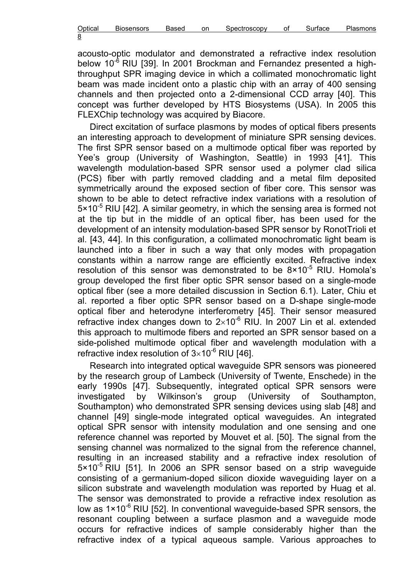| Optical | <b>Biosensors</b> | Based | on | Spectroscopy | Οt | Surtace | Plasmons |
|---------|-------------------|-------|----|--------------|----|---------|----------|
| 8<br>_  |                   |       |    |              |    |         |          |

acousto-optic modulator and demonstrated a refractive index resolution below  $10^{-6}$  RIU [39]. In 2001 Brockman and Fernandez presented a highthroughput SPR imaging device in which a collimated monochromatic light beam was made incident onto a plastic chip with an array of 400 sensing channels and then projected onto a 2-dimensional CCD array [40]. This concept was further developed by HTS Biosystems (USA). In 2005 this FLEXChip technology was acquired by Biacore.

Direct excitation of surface plasmons by modes of optical fibers presents an interesting approach to development of miniature SPR sensing devices. The first SPR sensor based on a multimode optical fiber was reported by Yee's group (University of Washington, Seattle) in 1993 [41]. This wavelength modulation-based SPR sensor used a polymer clad silica (PCS) fiber with partly removed cladding and a metal film deposited symmetrically around the exposed section of fiber core. This sensor was shown to be able to detect refractive index variations with a resolution of  $5 \times 10^{-5}$  RIU [42]. A similar geometry, in which the sensing area is formed not at the tip but in the middle of an optical fiber, has been used for the development of an intensity modulation-based SPR sensor by RonotTrioli et al. [43, 44]. In this configuration, a collimated monochromatic light beam is launched into a fiber in such a way that only modes with propagation constants within a narrow range are efficiently excited. Refractive index resolution of this sensor was demonstrated to be  $8 \times 10^{-5}$  RIU. Homola's group developed the first fiber optic SPR sensor based on a single-mode optical fiber (see a more detailed discussion in Section 6.1). Later, Chiu et al. reported a fiber optic SPR sensor based on a D-shape single-mode optical fiber and heterodyne interferometry [45]. Their sensor measured refractive index changes down to  $2\times10^{-6}$  RIU. In 2007 Lin et al. extended this approach to multimode fibers and reported an SPR sensor based on a side-polished multimode optical fiber and wavelength modulation with a refractive index resolution of  $3\times10^{-6}$  RIU [46].

Research into integrated optical waveguide SPR sensors was pioneered by the research group of Lambeck (University of Twente, Enschede) in the early 1990s [47]. Subsequently, integrated optical SPR sensors were investigated by Wilkinson's group (University of Southampton, Southampton) who demonstrated SPR sensing devices using slab [48] and channel [49] single-mode integrated optical waveguides. An integrated optical SPR sensor with intensity modulation and one sensing and one reference channel was reported by Mouvet et al. [50]. The signal from the sensing channel was normalized to the signal from the reference channel, resulting in an increased stability and a refractive index resolution of 5×10<sup>-5</sup> RIU [51]. In 2006 an SPR sensor based on a strip waveguide consisting of a germanium-doped silicon dioxide waveguiding layer on a silicon substrate and wavelength modulation was reported by Huag et al. The sensor was demonstrated to provide a refractive index resolution as low as  $1\times10^{-6}$  RIU [52]. In conventional waveguide-based SPR sensors, the resonant coupling between a surface plasmon and a waveguide mode occurs for refractive indices of sample considerably higher than the refractive index of a typical aqueous sample. Various approaches to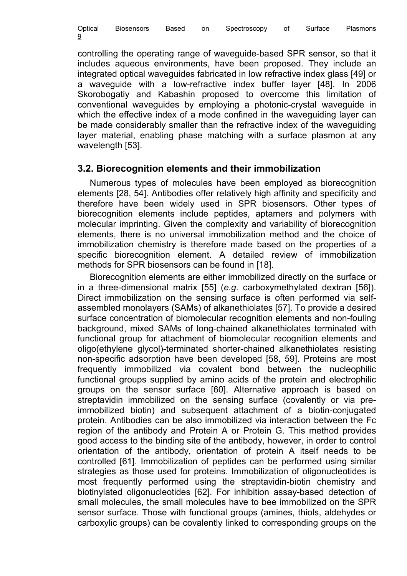| Optical | <b>Biosensors</b> | ased<br>nн | on | Spectroscopv | ırtace | ിasmons |
|---------|-------------------|------------|----|--------------|--------|---------|
| 9<br>_  |                   |            |    |              |        |         |

controlling the operating range of waveguide-based SPR sensor, so that it includes aqueous environments, have been proposed. They include an integrated optical waveguides fabricated in low refractive index glass [49] or a waveguide with a low-refractive index buffer layer [48]. In 2006 Skorobogatiy and Kabashin proposed to overcome this limitation of conventional waveguides by employing a photonic-crystal waveguide in which the effective index of a mode confined in the waveguiding layer can be made considerably smaller than the refractive index of the waveguiding layer material, enabling phase matching with a surface plasmon at any wavelength [53].

#### 3.2. Biorecognition elements and their immobilization

Numerous types of molecules have been employed as biorecognition elements [28, 54]. Antibodies offer relatively high affinity and specificity and therefore have been widely used in SPR biosensors. Other types of biorecognition elements include peptides, aptamers and polymers with molecular imprinting. Given the complexity and variability of biorecognition elements, there is no universal immobilization method and the choice of immobilization chemistry is therefore made based on the properties of a specific biorecognition element. A detailed review of immobilization methods for SPR biosensors can be found in [18].

Biorecognition elements are either immobilized directly on the surface or in a three-dimensional matrix  $[55]$  (e.g. carboxymethylated dextran  $[56]$ ). Direct immobilization on the sensing surface is often performed via selfassembled monolayers (SAMs) of alkanethiolates [57]. To provide a desired surface concentration of biomolecular recognition elements and non-fouling background, mixed SAMs of long-chained alkanethiolates terminated with functional group for attachment of biomolecular recognition elements and oligo(ethylene glycol)-terminated shorter-chained alkanethiolates resisting non-specific adsorption have been developed [58, 59]. Proteins are most frequently immobilized via covalent bond between the nucleophilic functional groups supplied by amino acids of the protein and electrophilic groups on the sensor surface [60]. Alternative approach is based on streptavidin immobilized on the sensing surface (covalently or via preimmobilized biotin) and subsequent attachment of a biotin-conjugated protein. Antibodies can be also immobilized via interaction between the Fc region of the antibody and Protein A or Protein G. This method provides good access to the binding site of the antibody, however, in order to control orientation of the antibody, orientation of protein A itself needs to be controlled [61]. Immobilization of peptides can be performed using similar strategies as those used for proteins. Immobilization of oligonucleotides is most frequently performed using the streptavidin-biotin chemistry and biotinylated oligonucleotides [62]. For inhibition assay-based detection of small molecules, the small molecules have to bee immobilized on the SPR sensor surface. Those with functional groups (amines, thiols, aldehydes or carboxylic groups) can be covalently linked to corresponding groups on the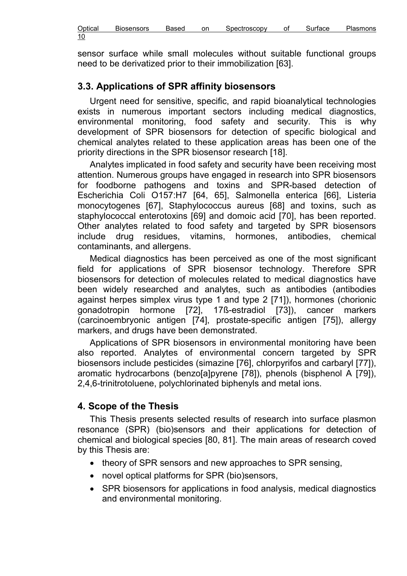sensor surface while small molecules without suitable functional groups need to be derivatized prior to their immobilization [63].

# 3.3. Applications of SPR affinity biosensors

Urgent need for sensitive, specific, and rapid bioanalytical technologies exists in numerous important sectors including medical diagnostics, environmental monitoring, food safety and security. This is why development of SPR biosensors for detection of specific biological and chemical analytes related to these application areas has been one of the priority directions in the SPR biosensor research [18].

Analytes implicated in food safety and security have been receiving most attention. Numerous groups have engaged in research into SPR biosensors for foodborne pathogens and toxins and SPR-based detection of Escherichia Coli O157:H7 [64, 65], Salmonella enterica [66], Listeria monocytogenes [67], Staphylococcus aureus [68] and toxins, such as staphylococcal enterotoxins [69] and domoic acid [70], has been reported. Other analytes related to food safety and targeted by SPR biosensors include drug residues, vitamins, hormones, antibodies, chemical contaminants, and allergens.

Medical diagnostics has been perceived as one of the most significant field for applications of SPR biosensor technology. Therefore SPR biosensors for detection of molecules related to medical diagnostics have been widely researched and analytes, such as antibodies (antibodies against herpes simplex virus type 1 and type 2 [71]), hormones (chorionic gonadotropin hormone [72], 17ß-estradiol [73]), cancer markers (carcinoembryonic antigen [74], prostate-specific antigen [75]), allergy markers, and drugs have been demonstrated.

Applications of SPR biosensors in environmental monitoring have been also reported. Analytes of environmental concern targeted by SPR biosensors include pesticides (simazine [76], chlorpyrifos and carbaryl [77]), aromatic hydrocarbons (benzo[a]pyrene [78]), phenols (bisphenol A [79]), 2,4,6-trinitrotoluene, polychlorinated biphenyls and metal ions.

## 4. Scope of the Thesis

This Thesis presents selected results of research into surface plasmon resonance (SPR) (bio)sensors and their applications for detection of chemical and biological species [80, 81]. The main areas of research coved by this Thesis are:

- theory of SPR sensors and new approaches to SPR sensing,
- novel optical platforms for SPR (bio)sensors,
- SPR biosensors for applications in food analysis, medical diagnostics and environmental monitoring.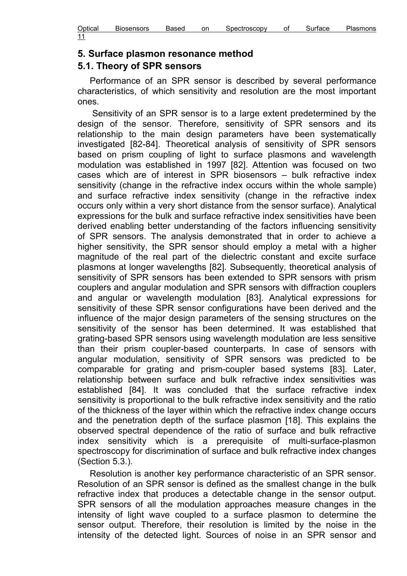| Optical | <b>Biosensors</b> | Based | on | Spectroscopy | οt | Surtace | Plasmons |
|---------|-------------------|-------|----|--------------|----|---------|----------|
| -4      |                   |       |    |              |    |         |          |

#### 5. Surface plasmon resonance method

#### 5.1. Theory of SPR sensors

Performance of an SPR sensor is described by several performance characteristics, of which sensitivity and resolution are the most important ones.

 Sensitivity of an SPR sensor is to a large extent predetermined by the design of the sensor. Therefore, sensitivity of SPR sensors and its relationship to the main design parameters have been systematically investigated [82-84]. Theoretical analysis of sensitivity of SPR sensors based on prism coupling of light to surface plasmons and wavelength modulation was established in 1997 [82]. Attention was focused on two cases which are of interest in SPR biosensors – bulk refractive index sensitivity (change in the refractive index occurs within the whole sample) and surface refractive index sensitivity (change in the refractive index occurs only within a very short distance from the sensor surface). Analytical expressions for the bulk and surface refractive index sensitivities have been derived enabling better understanding of the factors influencing sensitivity of SPR sensors. The analysis demonstrated that in order to achieve a higher sensitivity, the SPR sensor should employ a metal with a higher magnitude of the real part of the dielectric constant and excite surface plasmons at longer wavelengths [82]. Subsequently, theoretical analysis of sensitivity of SPR sensors has been extended to SPR sensors with prism couplers and angular modulation and SPR sensors with diffraction couplers and angular or wavelength modulation [83]. Analytical expressions for sensitivity of these SPR sensor configurations have been derived and the influence of the major design parameters of the sensing structures on the sensitivity of the sensor has been determined. It was established that grating-based SPR sensors using wavelength modulation are less sensitive than their prism coupler-based counterparts. In case of sensors with angular modulation, sensitivity of SPR sensors was predicted to be comparable for grating and prism-coupler based systems [83]. Later, relationship between surface and bulk refractive index sensitivities was established [84]. It was concluded that the surface refractive index sensitivity is proportional to the bulk refractive index sensitivity and the ratio of the thickness of the layer within which the refractive index change occurs and the penetration depth of the surface plasmon [18]. This explains the observed spectral dependence of the ratio of surface and bulk refractive index sensitivity which is a prerequisite of multi-surface-plasmon spectroscopy for discrimination of surface and bulk refractive index changes (Section 5.3.).

Resolution is another key performance characteristic of an SPR sensor. Resolution of an SPR sensor is defined as the smallest change in the bulk refractive index that produces a detectable change in the sensor output. SPR sensors of all the modulation approaches measure changes in the intensity of light wave coupled to a surface plasmon to determine the sensor output. Therefore, their resolution is limited by the noise in the intensity of the detected light. Sources of noise in an SPR sensor and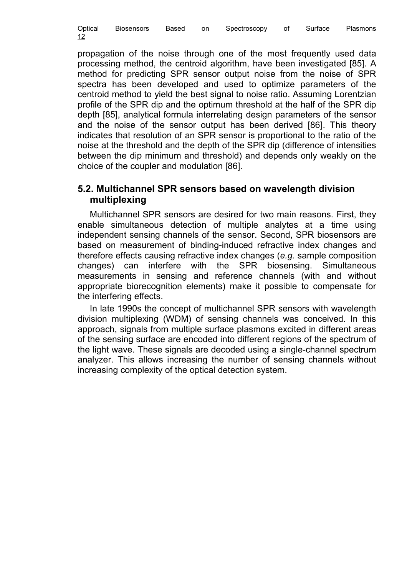| Optical | <b>Biosensors</b> | Based | on | Spectroscopy | Οl | Surtace | <b>Plasmons</b> |
|---------|-------------------|-------|----|--------------|----|---------|-----------------|
| 12      |                   |       |    |              |    |         |                 |

propagation of the noise through one of the most frequently used data processing method, the centroid algorithm, have been investigated [85]. A method for predicting SPR sensor output noise from the noise of SPR spectra has been developed and used to optimize parameters of the centroid method to yield the best signal to noise ratio. Assuming Lorentzian profile of the SPR dip and the optimum threshold at the half of the SPR dip depth [85], analytical formula interrelating design parameters of the sensor and the noise of the sensor output has been derived [86]. This theory indicates that resolution of an SPR sensor is proportional to the ratio of the noise at the threshold and the depth of the SPR dip (difference of intensities between the dip minimum and threshold) and depends only weakly on the choice of the coupler and modulation [86].

#### 5.2. Multichannel SPR sensors based on wavelength division multiplexing

Multichannel SPR sensors are desired for two main reasons. First, they enable simultaneous detection of multiple analytes at a time using independent sensing channels of the sensor. Second, SPR biosensors are based on measurement of binding-induced refractive index changes and therefore effects causing refractive index changes (e.g. sample composition changes) can interfere with the SPR biosensing. Simultaneous measurements in sensing and reference channels (with and without appropriate biorecognition elements) make it possible to compensate for the interfering effects.

In late 1990s the concept of multichannel SPR sensors with wavelength division multiplexing (WDM) of sensing channels was conceived. In this approach, signals from multiple surface plasmons excited in different areas of the sensing surface are encoded into different regions of the spectrum of the light wave. These signals are decoded using a single-channel spectrum analyzer. This allows increasing the number of sensing channels without increasing complexity of the optical detection system.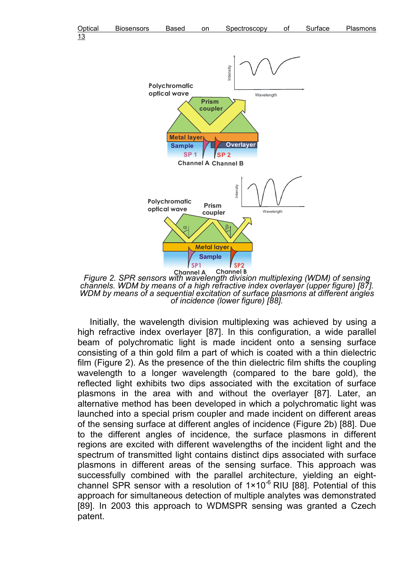



Figure 2. SPR sensors with wavelength division multiplexing (WDM) of sensing channels. WDM by means of a high refractive index overlayer (upper figure) [87]. WDM by means of a sequential excitation of surface plasmons at different angles of incidence (lower figure) [88].

Initially, the wavelength division multiplexing was achieved by using a high refractive index overlayer [87]. In this configuration, a wide parallel beam of polychromatic light is made incident onto a sensing surface consisting of a thin gold film a part of which is coated with a thin dielectric film (Figure 2). As the presence of the thin dielectric film shifts the coupling wavelength to a longer wavelength (compared to the bare gold), the reflected light exhibits two dips associated with the excitation of surface plasmons in the area with and without the overlayer [87]. Later, an alternative method has been developed in which a polychromatic light was launched into a special prism coupler and made incident on different areas of the sensing surface at different angles of incidence (Figure 2b) [88]. Due to the different angles of incidence, the surface plasmons in different regions are excited with different wavelengths of the incident light and the spectrum of transmitted light contains distinct dips associated with surface plasmons in different areas of the sensing surface. This approach was successfully combined with the parallel architecture, yielding an eightchannel SPR sensor with a resolution of  $1 \times 10^{-6}$  RIU [88]. Potential of this approach for simultaneous detection of multiple analytes was demonstrated [89]. In 2003 this approach to WDMSPR sensing was granted a Czech patent.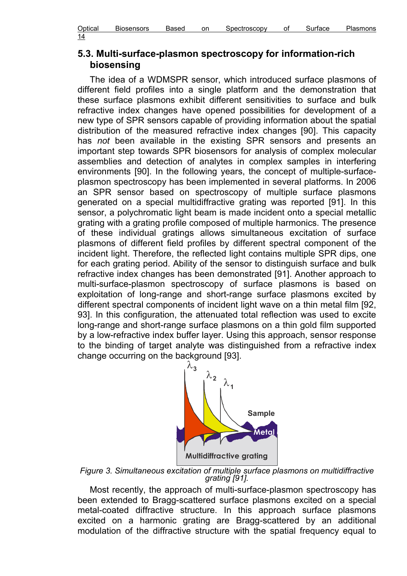| Optical     | <b>Biosensors</b> | Based | on | Spectroscopv | Οt | iace | -lasmons |
|-------------|-------------------|-------|----|--------------|----|------|----------|
| 14<br>_____ |                   |       |    |              |    |      |          |

## 5.3. Multi-surface-plasmon spectroscopy for information-rich biosensing

The idea of a WDMSPR sensor, which introduced surface plasmons of different field profiles into a single platform and the demonstration that these surface plasmons exhibit different sensitivities to surface and bulk refractive index changes have opened possibilities for development of a new type of SPR sensors capable of providing information about the spatial distribution of the measured refractive index changes [90]. This capacity has not been available in the existing SPR sensors and presents an important step towards SPR biosensors for analysis of complex molecular assemblies and detection of analytes in complex samples in interfering environments [90]. In the following years, the concept of multiple-surfaceplasmon spectroscopy has been implemented in several platforms. In 2006 an SPR sensor based on spectroscopy of multiple surface plasmons generated on a special multidiffractive grating was reported [91]. In this sensor, a polychromatic light beam is made incident onto a special metallic grating with a grating profile composed of multiple harmonics. The presence of these individual gratings allows simultaneous excitation of surface plasmons of different field profiles by different spectral component of the incident light. Therefore, the reflected light contains multiple SPR dips, one for each grating period. Ability of the sensor to distinguish surface and bulk refractive index changes has been demonstrated [91]. Another approach to multi-surface-plasmon spectroscopy of surface plasmons is based on exploitation of long-range and short-range surface plasmons excited by different spectral components of incident light wave on a thin metal film [92, 93]. In this configuration, the attenuated total reflection was used to excite long-range and short-range surface plasmons on a thin gold film supported by a low-refractive index buffer layer. Using this approach, sensor response to the binding of target analyte was distinguished from a refractive index change occurring on the background [93].



Figure 3. Simultaneous excitation of multiple surface plasmons on multidiffractive grating [91].

Most recently, the approach of multi-surface-plasmon spectroscopy has been extended to Bragg-scattered surface plasmons excited on a special metal-coated diffractive structure. In this approach surface plasmons excited on a harmonic grating are Bragg-scattered by an additional modulation of the diffractive structure with the spatial frequency equal to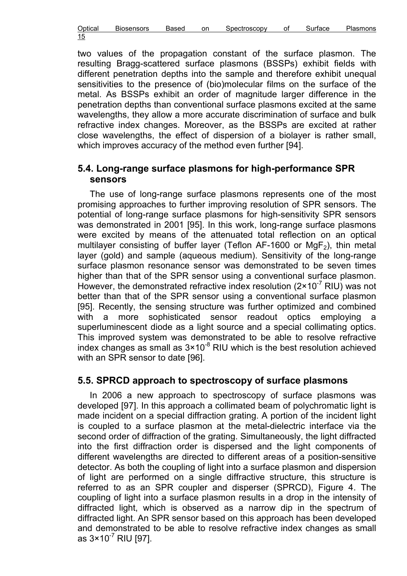| Optical    | <b>Biosensors</b> | Based | on | Spectroscopy | Surtace | Plasmons |
|------------|-------------------|-------|----|--------------|---------|----------|
| 15<br>____ |                   |       |    |              |         |          |

two values of the propagation constant of the surface plasmon. The resulting Bragg-scattered surface plasmons (BSSPs) exhibit fields with different penetration depths into the sample and therefore exhibit unequal sensitivities to the presence of (bio)molecular films on the surface of the metal. As BSSPs exhibit an order of magnitude larger difference in the penetration depths than conventional surface plasmons excited at the same wavelengths, they allow a more accurate discrimination of surface and bulk refractive index changes. Moreover, as the BSSPs are excited at rather close wavelengths, the effect of dispersion of a biolayer is rather small, which improves accuracy of the method even further [94].

#### 5.4. Long-range surface plasmons for high-performance SPR sensors

The use of long-range surface plasmons represents one of the most promising approaches to further improving resolution of SPR sensors. The potential of long-range surface plasmons for high-sensitivity SPR sensors was demonstrated in 2001 [95]. In this work, long-range surface plasmons were excited by means of the attenuated total reflection on an optical multilayer consisting of buffer layer (Teflon AF-1600 or MgF<sub>2</sub>), thin metal layer (gold) and sample (aqueous medium). Sensitivity of the long-range surface plasmon resonance sensor was demonstrated to be seven times higher than that of the SPR sensor using a conventional surface plasmon. However, the demonstrated refractive index resolution  $(2 \times 10^{-7}$  RIU) was not better than that of the SPR sensor using a conventional surface plasmon [95]. Recently, the sensing structure was further optimized and combined with a more sophisticated sensor readout optics employing a superluminescent diode as a light source and a special collimating optics. This improved system was demonstrated to be able to resolve refractive index changes as small as  $3 \times 10^{-8}$  RIU which is the best resolution achieved with an SPR sensor to date [96].

## 5.5. SPRCD approach to spectroscopy of surface plasmons

In 2006 a new approach to spectroscopy of surface plasmons was developed [97]. In this approach a collimated beam of polychromatic light is made incident on a special diffraction grating. A portion of the incident light is coupled to a surface plasmon at the metal-dielectric interface via the second order of diffraction of the grating. Simultaneously, the light diffracted into the first diffraction order is dispersed and the light components of different wavelengths are directed to different areas of a position-sensitive detector. As both the coupling of light into a surface plasmon and dispersion of light are performed on a single diffractive structure, this structure is referred to as an SPR coupler and disperser (SPRCD), Figure 4. The coupling of light into a surface plasmon results in a drop in the intensity of diffracted light, which is observed as a narrow dip in the spectrum of diffracted light. An SPR sensor based on this approach has been developed and demonstrated to be able to resolve refractive index changes as small as  $3 \times 10^{-7}$  RIU [97].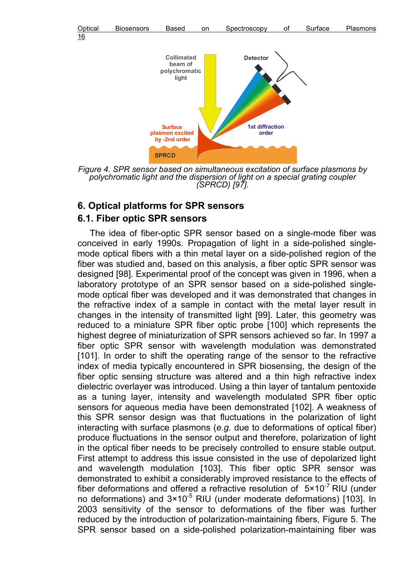



Figure 4. SPR sensor based on simultaneous excitation of surface plasmons by polychromatic light and the dispersion of light on a special grating coupler (SPRCD) [97].

#### 6. Optical platforms for SPR sensors 6.1. Fiber optic SPR sensors

The idea of fiber-optic SPR sensor based on a single-mode fiber was conceived in early 1990s. Propagation of light in a side-polished singlemode optical fibers with a thin metal layer on a side-polished region of the fiber was studied and, based on this analysis, a fiber optic SPR sensor was designed [98]. Experimental proof of the concept was given in 1996, when a laboratory prototype of an SPR sensor based on a side-polished singlemode optical fiber was developed and it was demonstrated that changes in the refractive index of a sample in contact with the metal layer result in changes in the intensity of transmitted light [99]. Later, this geometry was reduced to a miniature SPR fiber optic probe [100] which represents the highest degree of miniaturization of SPR sensors achieved so far. In 1997 a fiber optic SPR sensor with wavelength modulation was demonstrated [101]. In order to shift the operating range of the sensor to the refractive index of media typically encountered in SPR biosensing, the design of the fiber optic sensing structure was altered and a thin high refractive index dielectric overlayer was introduced. Using a thin layer of tantalum pentoxide as a tuning layer, intensity and wavelength modulated SPR fiber optic sensors for aqueous media have been demonstrated [102]. A weakness of this SPR sensor design was that fluctuations in the polarization of light interacting with surface plasmons (e.g. due to deformations of optical fiber) produce fluctuations in the sensor output and therefore, polarization of light in the optical fiber needs to be precisely controlled to ensure stable output. First attempt to address this issue consisted in the use of depolarized light and wavelength modulation [103]. This fiber optic SPR sensor was demonstrated to exhibit a considerably improved resistance to the effects of fiber deformations and offered a refractive resolution of  $5 \times 10^{-7}$  RIU (under no deformations) and  $3 \times 10^{-5}$  RIU (under moderate deformations) [103]. In 2003 sensitivity of the sensor to deformations of the fiber was further reduced by the introduction of polarization-maintaining fibers, Figure 5. The SPR sensor based on a side-polished polarization-maintaining fiber was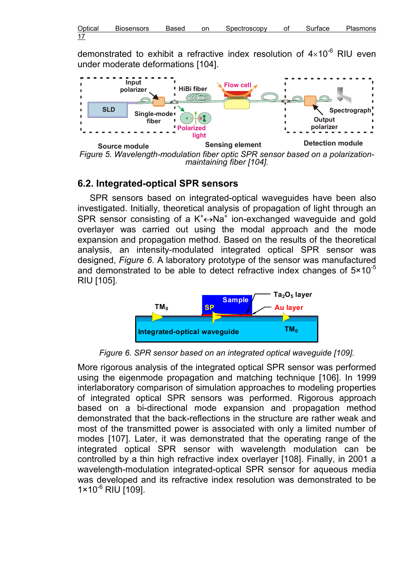demonstrated to exhibit a refractive index resolution of  $4\times10^{-6}$  RIU even under moderate deformations [104].



Figure 5. Wavelength-modulation fiber optic SPR sensor based on a polarizationmaintaining fiber [104].

## 6.2. Integrated-optical SPR sensors

SPR sensors based on integrated-optical waveguides have been also investigated. Initially, theoretical analysis of propagation of light through an SPR sensor consisting of a  $K^+ \leftrightarrow Na^+$  ion-exchanged waveguide and gold overlayer was carried out using the modal approach and the mode expansion and propagation method. Based on the results of the theoretical analysis, an intensity-modulated integrated optical SPR sensor was designed, Figure 6. A laboratory prototype of the sensor was manufactured and demonstrated to be able to detect refractive index changes of  $5 \times 10^{-5}$ RIU [105].



Figure 6. SPR sensor based on an integrated optical waveguide [109].

More rigorous analysis of the integrated optical SPR sensor was performed using the eigenmode propagation and matching technique [106]. In 1999 interlaboratory comparison of simulation approaches to modeling properties of integrated optical SPR sensors was performed. Rigorous approach based on a bi-directional mode expansion and propagation method demonstrated that the back-reflections in the structure are rather weak and most of the transmitted power is associated with only a limited number of modes [107]. Later, it was demonstrated that the operating range of the integrated optical SPR sensor with wavelength modulation can be controlled by a thin high refractive index overlayer [108]. Finally, in 2001 a wavelength-modulation integrated-optical SPR sensor for aqueous media was developed and its refractive index resolution was demonstrated to be  $1 \times 10^{-6}$  RIU [109].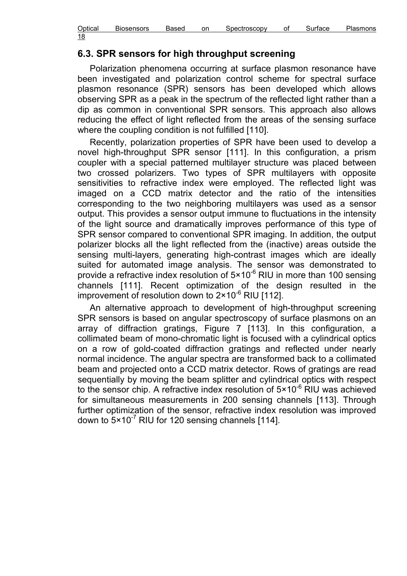| Optical    | <b>Biosensors</b> | Based | on | Spectroscopy | οt | Surtace | Plasmons |
|------------|-------------------|-------|----|--------------|----|---------|----------|
| 18<br>____ |                   |       |    |              |    |         |          |

## 6.3. SPR sensors for high throughput screening

Polarization phenomena occurring at surface plasmon resonance have been investigated and polarization control scheme for spectral surface plasmon resonance (SPR) sensors has been developed which allows observing SPR as a peak in the spectrum of the reflected light rather than a dip as common in conventional SPR sensors. This approach also allows reducing the effect of light reflected from the areas of the sensing surface where the coupling condition is not fulfilled [110].

Recently, polarization properties of SPR have been used to develop a novel high-throughput SPR sensor [111]. In this configuration, a prism coupler with a special patterned multilayer structure was placed between two crossed polarizers. Two types of SPR multilayers with opposite sensitivities to refractive index were employed. The reflected light was imaged on a CCD matrix detector and the ratio of the intensities corresponding to the two neighboring multilayers was used as a sensor output. This provides a sensor output immune to fluctuations in the intensity of the light source and dramatically improves performance of this type of SPR sensor compared to conventional SPR imaging. In addition, the output polarizer blocks all the light reflected from the (inactive) areas outside the sensing multi-layers, generating high-contrast images which are ideally suited for automated image analysis. The sensor was demonstrated to provide a refractive index resolution of  $5 \times 10^{-6}$  RIU in more than 100 sensing channels [111]. Recent optimization of the design resulted in the improvement of resolution down to  $2 \times 10^{-6}$  RIU [112].

An alternative approach to development of high-throughput screening SPR sensors is based on angular spectroscopy of surface plasmons on an array of diffraction gratings, Figure 7 [113]. In this configuration, a collimated beam of mono-chromatic light is focused with a cylindrical optics on a row of gold-coated diffraction gratings and reflected under nearly normal incidence. The angular spectra are transformed back to a collimated beam and projected onto a CCD matrix detector. Rows of gratings are read sequentially by moving the beam splitter and cylindrical optics with respect to the sensor chip. A refractive index resolution of 5×10<sup>-6</sup> RIU was achieved for simultaneous measurements in 200 sensing channels [113]. Through further optimization of the sensor, refractive index resolution was improved down to  $5 \times 10^{-7}$  RIU for 120 sensing channels [114].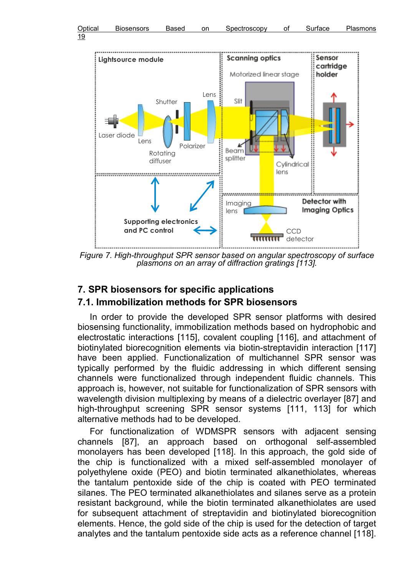

Figure 7. High-throughput SPR sensor based on angular spectroscopy of surface plasmons on an array of diffraction gratings [113].

## 7. SPR biosensors for specific applications

## 7.1. Immobilization methods for SPR biosensors

In order to provide the developed SPR sensor platforms with desired biosensing functionality, immobilization methods based on hydrophobic and electrostatic interactions [115], covalent coupling [116], and attachment of biotinylated biorecognition elements via biotin-streptavidin interaction [117] have been applied. Functionalization of multichannel SPR sensor was typically performed by the fluidic addressing in which different sensing channels were functionalized through independent fluidic channels. This approach is, however, not suitable for functionalization of SPR sensors with wavelength division multiplexing by means of a dielectric overlayer [87] and high-throughput screening SPR sensor systems [111, 113] for which alternative methods had to be developed.

For functionalization of WDMSPR sensors with adjacent sensing channels [87], an approach based on orthogonal self-assembled monolayers has been developed [118]. In this approach, the gold side of the chip is functionalized with a mixed self-assembled monolayer of polyethylene oxide (PEO) and biotin terminated alkanethiolates, whereas the tantalum pentoxide side of the chip is coated with PEO terminated silanes. The PEO terminated alkanethiolates and silanes serve as a protein resistant background, while the biotin terminated alkanethiolates are used for subsequent attachment of streptavidin and biotinylated biorecognition elements. Hence, the gold side of the chip is used for the detection of target analytes and the tantalum pentoxide side acts as a reference channel [118].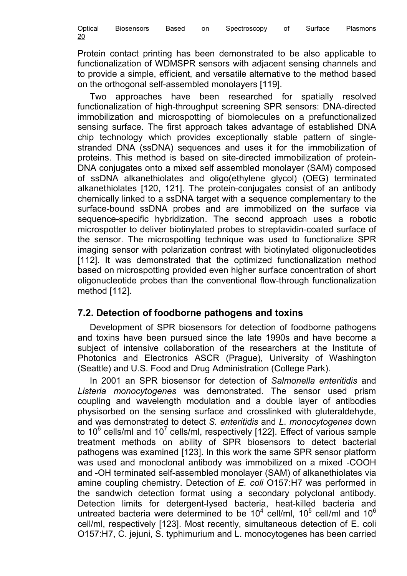| Optical    | <b>Biosensors</b> | Based | on | Spectroscopy | വ | Surtace | Plasmons |
|------------|-------------------|-------|----|--------------|---|---------|----------|
| 20<br>____ |                   |       |    |              |   |         |          |

Protein contact printing has been demonstrated to be also applicable to functionalization of WDMSPR sensors with adjacent sensing channels and to provide a simple, efficient, and versatile alternative to the method based on the orthogonal self-assembled monolayers [119].

Two approaches have been researched for spatially resolved functionalization of high-throughput screening SPR sensors: DNA-directed immobilization and microspotting of biomolecules on a prefunctionalized sensing surface. The first approach takes advantage of established DNA chip technology which provides exceptionally stable pattern of singlestranded DNA (ssDNA) sequences and uses it for the immobilization of proteins. This method is based on site-directed immobilization of protein-DNA conjugates onto a mixed self assembled monolayer (SAM) composed of ssDNA alkanethiolates and oligo(ethylene glycol) (OEG) terminated alkanethiolates [120, 121]. The protein-conjugates consist of an antibody chemically linked to a ssDNA target with a sequence complementary to the surface-bound ssDNA probes and are immobilized on the surface via sequence-specific hybridization. The second approach uses a robotic microspotter to deliver biotinylated probes to streptavidin-coated surface of the sensor. The microspotting technique was used to functionalize SPR imaging sensor with polarization contrast with biotinylated oligonucleotides [112]. It was demonstrated that the optimized functionalization method based on microspotting provided even higher surface concentration of short oligonucleotide probes than the conventional flow-through functionalization method [112].

## 7.2. Detection of foodborne pathogens and toxins

Development of SPR biosensors for detection of foodborne pathogens and toxins have been pursued since the late 1990s and have become a subject of intensive collaboration of the researchers at the Institute of Photonics and Electronics ASCR (Prague), University of Washington (Seattle) and U.S. Food and Drug Administration (College Park).

In 2001 an SPR biosensor for detection of Salmonella enteritidis and Listeria monocytogenes was demonstrated. The sensor used prism coupling and wavelength modulation and a double layer of antibodies physisorbed on the sensing surface and crosslinked with gluteraldehyde, and was demonstrated to detect S. enteritidis and L. monocytogenes down to 10<sup>6</sup> cells/ml and 10<sup>7</sup> cells/ml, respectively [122]. Effect of various sample treatment methods on ability of SPR biosensors to detect bacterial pathogens was examined [123]. In this work the same SPR sensor platform was used and monoclonal antibody was immobilized on a mixed -COOH and -OH terminated self-assembled monolayer (SAM) of alkanethiolates via amine coupling chemistry. Detection of E. coli O157:H7 was performed in the sandwich detection format using a secondary polyclonal antibody. Detection limits for detergent-lysed bacteria, heat-killed bacteria and untreated bacteria were determined to be 10<sup>4</sup> cell/ml, 10<sup>5</sup> cell/ml and 10<sup>6</sup> cell/ml, respectively [123]. Most recently, simultaneous detection of E. coli O157:H7, C. jejuni, S. typhimurium and L. monocytogenes has been carried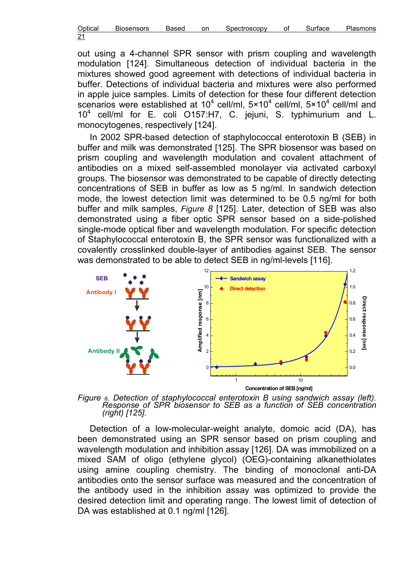| Optical    | <b>Biosensors</b> | Based | on | Spectroscopy | Surtace | Plasmons |
|------------|-------------------|-------|----|--------------|---------|----------|
| 21<br>____ |                   |       |    |              |         |          |

out using a 4-channel SPR sensor with prism coupling and wavelength modulation [124]. Simultaneous detection of individual bacteria in the mixtures showed good agreement with detections of individual bacteria in buffer. Detections of individual bacteria and mixtures were also performed in apple juice samples. Limits of detection for these four different detection scenarios were established at 10<sup>4</sup> cell/ml,  $5 \times 10^4$  cell/ml,  $5 \times 10^4$  cell/ml and 10<sup>4</sup> cell/ml for E. coli O157:H7, C. jejuni, S. typhimurium and L. monocytogenes, respectively [124].

In 2002 SPR-based detection of staphylococcal enterotoxin B (SEB) in buffer and milk was demonstrated [125]. The SPR biosensor was based on prism coupling and wavelength modulation and covalent attachment of antibodies on a mixed self-assembled monolayer via activated carboxyl groups. The biosensor was demonstrated to be capable of directly detecting concentrations of SEB in buffer as low as 5 ng/ml. In sandwich detection mode, the lowest detection limit was determined to be 0.5 ng/ml for both buffer and milk samples, Figure 8 [125]. Later, detection of SEB was also demonstrated using a fiber optic SPR sensor based on a side-polished single-mode optical fiber and wavelength modulation. For specific detection of Staphylococcal enterotoxin B, the SPR sensor was functionalized with a covalently crosslinked double-layer of antibodies against SEB. The sensor was demonstrated to be able to detect SEB in ng/ml-levels [116].



Figure 8. Detection of staphylococcal enterotoxin B using sandwich assay (left). Response of SPR biosensor to SEB as a function of SEB concentration (right) [125].

Detection of a low-molecular-weight analyte, domoic acid (DA), has been demonstrated using an SPR sensor based on prism coupling and wavelength modulation and inhibition assay [126]. DA was immobilized on a mixed SAM of oligo (ethylene glycol) (OEG)-containing alkanethiolates using amine coupling chemistry. The binding of monoclonal anti-DA antibodies onto the sensor surface was measured and the concentration of the antibody used in the inhibition assay was optimized to provide the desired detection limit and operating range. The lowest limit of detection of DA was established at 0.1 ng/ml [126].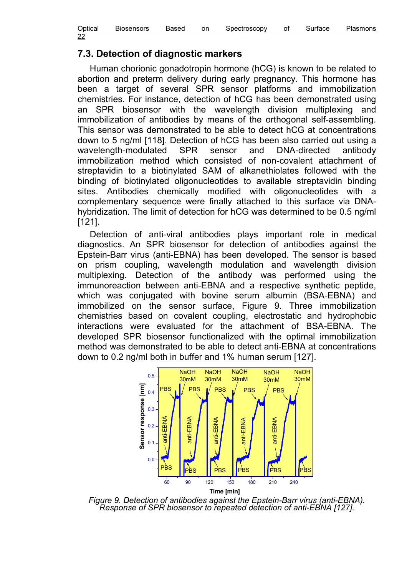| Optical    | <b>Biosensors</b> | Based | on | Spectroscopy | Οt | Surface | Plasmons |
|------------|-------------------|-------|----|--------------|----|---------|----------|
| 22<br>____ |                   |       |    |              |    |         |          |

## 7.3. Detection of diagnostic markers

Human chorionic gonadotropin hormone (hCG) is known to be related to abortion and preterm delivery during early pregnancy. This hormone has been a target of several SPR sensor platforms and immobilization chemistries. For instance, detection of hCG has been demonstrated using an SPR biosensor with the wavelength division multiplexing and immobilization of antibodies by means of the orthogonal self-assembling. This sensor was demonstrated to be able to detect hCG at concentrations down to 5 ng/ml [118]. Detection of hCG has been also carried out using a wavelength-modulated SPR sensor and DNA-directed antibody immobilization method which consisted of non-covalent attachment of streptavidin to a biotinylated SAM of alkanethiolates followed with the binding of biotinylated oligonucleotides to available streptavidin binding sites. Antibodies chemically modified with oligonucleotides with a complementary sequence were finally attached to this surface via DNAhybridization. The limit of detection for hCG was determined to be 0.5 ng/ml [121].

Detection of anti-viral antibodies plays important role in medical diagnostics. An SPR biosensor for detection of antibodies against the Epstein-Barr virus (anti-EBNA) has been developed. The sensor is based on prism coupling, wavelength modulation and wavelength division multiplexing. Detection of the antibody was performed using the immunoreaction between anti-EBNA and a respective synthetic peptide, which was conjugated with bovine serum albumin (BSA-EBNA) and immobilized on the sensor surface, Figure 9. Three immobilization chemistries based on covalent coupling, electrostatic and hydrophobic interactions were evaluated for the attachment of BSA-EBNA. The developed SPR biosensor functionalized with the optimal immobilization method was demonstrated to be able to detect anti-EBNA at concentrations down to 0.2 ng/ml both in buffer and 1% human serum [127].



Figure 9. Detection of antibodies against the Epstein-Barr virus (anti-EBNA). Response of SPR biosensor to repeated detection of anti-EBNA [127].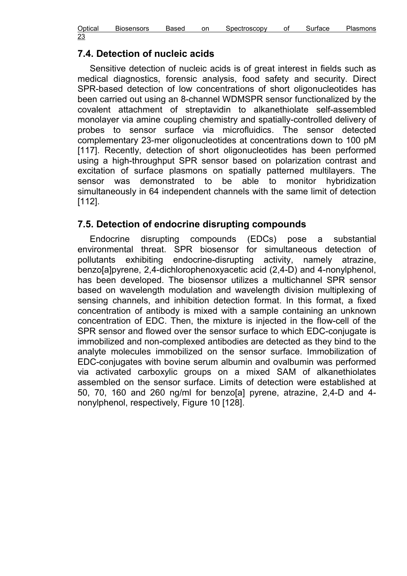| Optical    | <b>Biosensors</b> | Based | on | 3pectroscopv | Οİ | tace | Plasmons |
|------------|-------------------|-------|----|--------------|----|------|----------|
| 23<br>____ |                   |       |    |              |    |      |          |

## 7.4. Detection of nucleic acids

Sensitive detection of nucleic acids is of great interest in fields such as medical diagnostics, forensic analysis, food safety and security. Direct SPR-based detection of low concentrations of short oligonucleotides has been carried out using an 8-channel WDMSPR sensor functionalized by the covalent attachment of streptavidin to alkanethiolate self-assembled monolayer via amine coupling chemistry and spatially-controlled delivery of probes to sensor surface via microfluidics. The sensor detected complementary 23-mer oligonucleotides at concentrations down to 100 pM [117]. Recently, detection of short oligonucleotides has been performed using a high-throughput SPR sensor based on polarization contrast and excitation of surface plasmons on spatially patterned multilayers. The sensor was demonstrated to be able to monitor hybridization simultaneously in 64 independent channels with the same limit of detection [112].

## 7.5. Detection of endocrine disrupting compounds

Endocrine disrupting compounds (EDCs) pose a substantial environmental threat. SPR biosensor for simultaneous detection of pollutants exhibiting endocrine-disrupting activity, namely atrazine, benzo[a]pyrene, 2,4-dichlorophenoxyacetic acid (2,4-D) and 4-nonylphenol, has been developed. The biosensor utilizes a multichannel SPR sensor based on wavelength modulation and wavelength division multiplexing of sensing channels, and inhibition detection format. In this format, a fixed concentration of antibody is mixed with a sample containing an unknown concentration of EDC. Then, the mixture is injected in the flow-cell of the SPR sensor and flowed over the sensor surface to which EDC-conjugate is immobilized and non-complexed antibodies are detected as they bind to the analyte molecules immobilized on the sensor surface. Immobilization of EDC-conjugates with bovine serum albumin and ovalbumin was performed via activated carboxylic groups on a mixed SAM of alkanethiolates assembled on the sensor surface. Limits of detection were established at 50, 70, 160 and 260 ng/ml for benzo[a] pyrene, atrazine, 2,4-D and 4 nonylphenol, respectively, Figure 10 [128].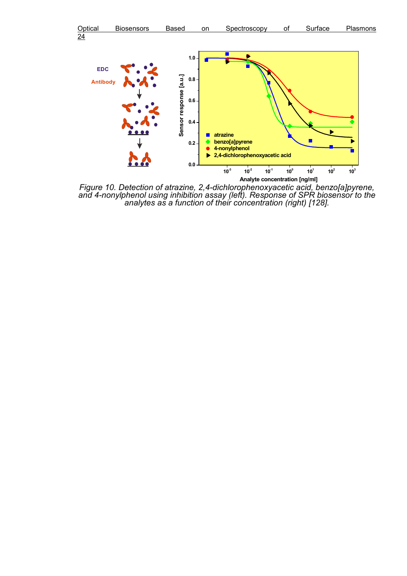



Figure 10. Detection of atrazine, 2,4-dichlorophenoxyacetic acid, benzo[a]pyrene, and 4-nonylphenol using inhibition assay (left). Response of SPR biosensor to the analytes as a function of their concentration (right) [128].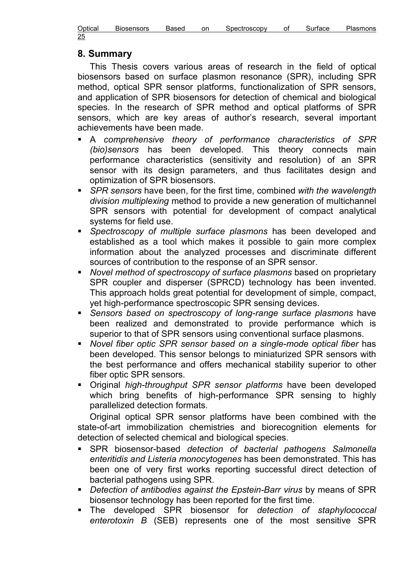| Optical    | <b>Biosensors</b> | Based | on | Spectroscopy | ി | Surface | Plasmons |
|------------|-------------------|-------|----|--------------|---|---------|----------|
| 25<br>____ |                   |       |    |              |   |         |          |

#### 8. Summary

This Thesis covers various areas of research in the field of optical biosensors based on surface plasmon resonance (SPR), including SPR method, optical SPR sensor platforms, functionalization of SPR sensors, and application of SPR biosensors for detection of chemical and biological species. In the research of SPR method and optical platforms of SPR sensors, which are key areas of author's research, several important achievements have been made.

- A comprehensive theory of performance characteristics of SPR (bio)sensors has been developed. This theory connects main performance characteristics (sensitivity and resolution) of an SPR sensor with its design parameters, and thus facilitates design and optimization of SPR biosensors.
- SPR sensors have been, for the first time, combined with the wavelength division multiplexing method to provide a new generation of multichannel SPR sensors with potential for development of compact analytical systems for field use.
- **Spectroscopy of multiple surface plasmons has been developed and** established as a tool which makes it possible to gain more complex information about the analyzed processes and discriminate different sources of contribution to the response of an SPR sensor.
- Novel method of spectroscopy of surface plasmons based on proprietary SPR coupler and disperser (SPRCD) technology has been invented. This approach holds great potential for development of simple, compact, yet high-performance spectroscopic SPR sensing devices.
- **Sensors based on spectroscopy of long-range surface plasmons have** been realized and demonstrated to provide performance which is superior to that of SPR sensors using conventional surface plasmons.
- Novel fiber optic SPR sensor based on a single-mode optical fiber has been developed. This sensor belongs to miniaturized SPR sensors with the best performance and offers mechanical stability superior to other fiber optic SPR sensors.
- Original *high-throughput SPR sensor platforms* have been developed which bring benefits of high-performance SPR sensing to highly parallelized detection formats.

Original optical SPR sensor platforms have been combined with the state-of-art immobilization chemistries and biorecognition elements for detection of selected chemical and biological species.

- **SPR** biosensor-based detection of bacterial pathogens Salmonella enteritidis and Listeria monocytogenes has been demonstrated. This has been one of very first works reporting successful direct detection of bacterial pathogens using SPR.
- Detection of antibodies against the Epstein-Barr virus by means of SPR biosensor technology has been reported for the first time.
- The developed SPR biosensor for detection of staphylococcal enterotoxin B (SEB) represents one of the most sensitive SPR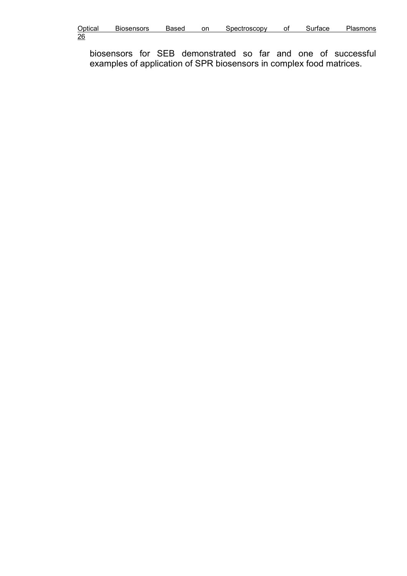| Optical        | <b>Biosensors</b> | Based | on | Spectroscopy | οt | Surtace | Plasmons |
|----------------|-------------------|-------|----|--------------|----|---------|----------|
| $\frac{26}{5}$ |                   |       |    |              |    |         |          |

biosensors for SEB demonstrated so far and one of successful examples of application of SPR biosensors in complex food matrices.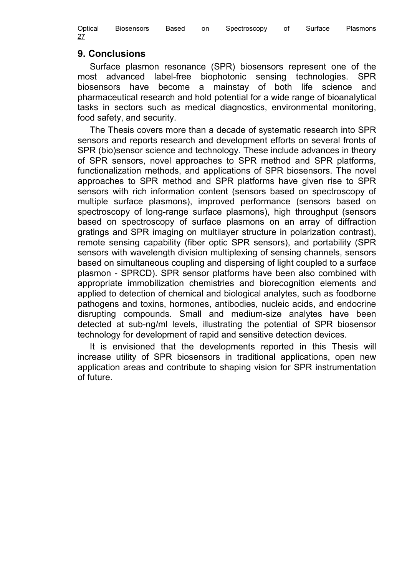| Optical    | <b>Biosensors</b> | Based | on | Spectroscopy | οt | Surtace | Plasmons |
|------------|-------------------|-------|----|--------------|----|---------|----------|
| 27<br>____ |                   |       |    |              |    |         |          |

#### 9. Conclusions

Surface plasmon resonance (SPR) biosensors represent one of the most advanced label-free biophotonic sensing technologies. SPR biosensors have become a mainstay of both life science and pharmaceutical research and hold potential for a wide range of bioanalytical tasks in sectors such as medical diagnostics, environmental monitoring, food safety, and security.

The Thesis covers more than a decade of systematic research into SPR sensors and reports research and development efforts on several fronts of SPR (bio)sensor science and technology. These include advances in theory of SPR sensors, novel approaches to SPR method and SPR platforms, functionalization methods, and applications of SPR biosensors. The novel approaches to SPR method and SPR platforms have given rise to SPR sensors with rich information content (sensors based on spectroscopy of multiple surface plasmons), improved performance (sensors based on spectroscopy of long-range surface plasmons), high throughput (sensors based on spectroscopy of surface plasmons on an array of diffraction gratings and SPR imaging on multilayer structure in polarization contrast), remote sensing capability (fiber optic SPR sensors), and portability (SPR sensors with wavelength division multiplexing of sensing channels, sensors based on simultaneous coupling and dispersing of light coupled to a surface plasmon - SPRCD). SPR sensor platforms have been also combined with appropriate immobilization chemistries and biorecognition elements and applied to detection of chemical and biological analytes, such as foodborne pathogens and toxins, hormones, antibodies, nucleic acids, and endocrine disrupting compounds. Small and medium-size analytes have been detected at sub-ng/ml levels, illustrating the potential of SPR biosensor technology for development of rapid and sensitive detection devices.

It is envisioned that the developments reported in this Thesis will increase utility of SPR biosensors in traditional applications, open new application areas and contribute to shaping vision for SPR instrumentation of future.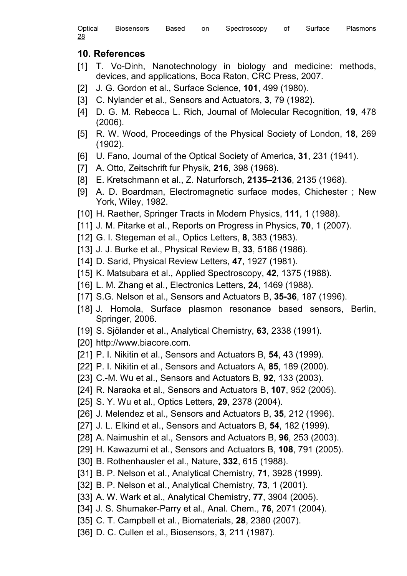| Optical | <b>Biosensors</b> | Based | on | Spectroscopy | Οt | Surtace | <b>Plasmons</b> |
|---------|-------------------|-------|----|--------------|----|---------|-----------------|
| 28      |                   |       |    |              |    |         |                 |

#### 10. References

- [1] T. Vo-Dinh, Nanotechnology in biology and medicine: methods, devices, and applications, Boca Raton, CRC Press, 2007.
- [2] J. G. Gordon et al., Surface Science, **101**, 499 (1980).
- [3] C. Nylander et al., Sensors and Actuators, 3, 79 (1982).
- [4] D. G. M. Rebecca L. Rich, Journal of Molecular Recognition, **19**, 478 (2006).
- [5] R. W. Wood, Proceedings of the Physical Society of London, 18, 269 (1902).
- [6] U. Fano, Journal of the Optical Society of America, 31, 231 (1941).
- [7] A. Otto, Zeitschrift fur Physik, 216, 398 (1968).
- [8] E. Kretschmann et al., Z. Naturforsch, 2135–2136, 2135 (1968).
- [9] A. D. Boardman, Electromagnetic surface modes, Chichester ; New York, Wiley, 1982.
- [10] H. Raether, Springer Tracts in Modern Physics, 111, 1 (1988).
- [11] J. M. Pitarke et al., Reports on Progress in Physics, **70**, 1 (2007).
- [12] G. I. Stegeman et al., Optics Letters, 8, 383 (1983).
- [13] J. J. Burke et al., Physical Review B, 33, 5186 (1986).
- [14] D. Sarid, Physical Review Letters, 47, 1927 (1981).
- [15] K. Matsubara et al., Applied Spectroscopy, 42, 1375 (1988).
- [16] L. M. Zhang et al., Electronics Letters, 24, 1469 (1988).
- [17] S.G. Nelson et al., Sensors and Actuators B, 35-36, 187 (1996).
- [18] J. Homola, Surface plasmon resonance based sensors, Berlin, Springer, 2006.
- [19] S. Sjölander et al., Analytical Chemistry, 63, 2338 (1991).
- [20] http://www.biacore.com.
- [21] P. I. Nikitin et al., Sensors and Actuators B, 54, 43 (1999).
- [22] P. I. Nikitin et al., Sensors and Actuators A, 85, 189 (2000).
- [23] C.-M. Wu et al., Sensors and Actuators B, 92, 133 (2003).
- [24] R. Naraoka et al., Sensors and Actuators B, 107, 952 (2005).
- [25] S. Y. Wu et al., Optics Letters, 29, 2378 (2004).
- [26] J. Melendez et al., Sensors and Actuators B, 35, 212 (1996).
- [27] J. L. Elkind et al., Sensors and Actuators B, 54, 182 (1999).
- [28] A. Naimushin et al., Sensors and Actuators B, 96, 253 (2003).
- [29] H. Kawazumi et al., Sensors and Actuators B, 108, 791 (2005).
- [30] B. Rothenhausler et al., Nature, 332, 615 (1988).
- [31] B. P. Nelson et al., Analytical Chemistry, 71, 3928 (1999).
- [32] B. P. Nelson et al., Analytical Chemistry, **73**, 1 (2001).
- [33] A. W. Wark et al., Analytical Chemistry, 77, 3904 (2005).
- [34] J. S. Shumaker-Parry et al., Anal. Chem., **76**, 2071 (2004).
- [35] C. T. Campbell et al., Biomaterials, **28**, 2380 (2007).
- [36] D. C. Cullen et al., Biosensors, 3, 211 (1987).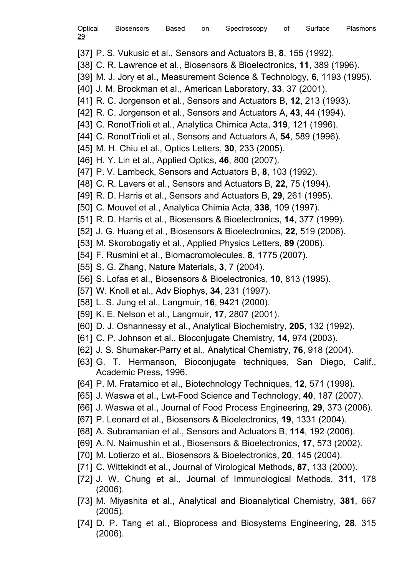| Optical | <b>Biosensors</b> | Based | on | Spectroscopy | Surface | <b>Plasmons</b> |
|---------|-------------------|-------|----|--------------|---------|-----------------|
| 29      |                   |       |    |              |         |                 |

[37] P. S. Vukusic et al., Sensors and Actuators B, 8, 155 (1992).

[38] C. R. Lawrence et al., Biosensors & Bioelectronics, 11, 389 (1996).

- [39] M. J. Jory et al., Measurement Science & Technology, 6, 1193 (1995).
- [40] J. M. Brockman et al., American Laboratory, 33, 37 (2001).
- [41] R. C. Jorgenson et al., Sensors and Actuators B, 12, 213 (1993).
- [42] R. C. Jorgenson et al., Sensors and Actuators A, 43, 44 (1994).
- [43] C. Ronot Trioli et al., Analytica Chimica Acta, 319, 121 (1996).
- [44] C. RonotTrioli et al., Sensors and Actuators A, 54, 589 (1996).
- [45] M. H. Chiu et al., Optics Letters, 30, 233 (2005).
- [46] H. Y. Lin et al., Applied Optics, **46**, 800 (2007).
- [47] P. V. Lambeck, Sensors and Actuators B, 8, 103 (1992).
- [48] C. R. Lavers et al., Sensors and Actuators B, 22, 75 (1994).
- [49] R. D. Harris et al., Sensors and Actuators B, 29, 261 (1995).
- [50] C. Mouvet et al., Analytica Chimia Acta, 338, 109 (1997).
- [51] R. D. Harris et al., Biosensors & Bioelectronics, 14, 377 (1999).
- [52] J. G. Huang et al., Biosensors & Bioelectronics, 22, 519 (2006).
- [53] M. Skorobogatiy et al., Applied Physics Letters, 89 (2006).
- [54] F. Rusmini et al., Biomacromolecules, 8, 1775 (2007).
- [55] S. G. Zhang, Nature Materials, 3, 7 (2004).
- [56] S. Lofas et al., Biosensors & Bioelectronics, 10, 813 (1995).
- [57] W. Knoll et al., Adv Biophys, 34, 231 (1997).
- [58] L. S. Jung et al., Langmuir, 16, 9421 (2000).
- [59] K. E. Nelson et al., Langmuir, 17, 2807 (2001).
- [60] D. J. Oshannessy et al., Analytical Biochemistry, 205, 132 (1992).
- [61] C. P. Johnson et al., Bioconjugate Chemistry, 14, 974 (2003).
- [62] J. S. Shumaker-Parry et al., Analytical Chemistry, 76, 918 (2004).
- [63] G. T. Hermanson, Bioconjugate techniques, San Diego, Calif., Academic Press, 1996.
- [64] P. M. Fratamico et al., Biotechnology Techniques, 12, 571 (1998).
- [65] J. Waswa et al., Lwt-Food Science and Technology, 40, 187 (2007).
- [66] J. Waswa et al., Journal of Food Process Engineering, 29, 373 (2006).
- [67] P. Leonard et al., Biosensors & Bioelectronics, 19, 1331 (2004).
- [68] A. Subramanian et al., Sensors and Actuators B, 114, 192 (2006).
- [69] A. N. Naimushin et al., Biosensors & Bioelectronics, 17, 573 (2002).
- [70] M. Lotierzo et al., Biosensors & Bioelectronics, 20, 145 (2004).
- [71] C. Wittekindt et al., Journal of Virological Methods, 87, 133 (2000).
- [72] J. W. Chung et al., Journal of Immunological Methods, 311, 178 (2006).
- [73] M. Miyashita et al., Analytical and Bioanalytical Chemistry, 381, 667 (2005).
- [74] D. P. Tang et al., Bioprocess and Biosystems Engineering, 28, 315 (2006).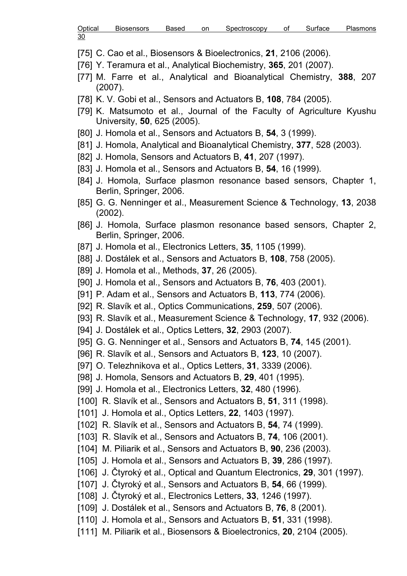| Optical    | <b>Biosensors</b> | Based | on | Spectroscopy | Οt | Surtace | Plasmons |
|------------|-------------------|-------|----|--------------|----|---------|----------|
| 30<br>____ |                   |       |    |              |    |         |          |

- [75] C. Cao et al., Biosensors & Bioelectronics, 21, 2106 (2006).
- [76] Y. Teramura et al., Analytical Biochemistry, 365, 201 (2007).
- [77] M. Farre et al., Analytical and Bioanalytical Chemistry, 388, 207 (2007).
- [78] K. V. Gobi et al., Sensors and Actuators B, 108, 784 (2005).
- [79] K. Matsumoto et al., Journal of the Faculty of Agriculture Kyushu University, 50, 625 (2005).
- [80] J. Homola et al., Sensors and Actuators B, 54, 3 (1999).
- [81] J. Homola, Analytical and Bioanalytical Chemistry, 377, 528 (2003).
- [82] J. Homola, Sensors and Actuators B, 41, 207 (1997).
- [83] J. Homola et al., Sensors and Actuators B, 54, 16 (1999).
- [84] J. Homola, Surface plasmon resonance based sensors, Chapter 1, Berlin, Springer, 2006.
- [85] G. G. Nenninger et al., Measurement Science & Technology, 13, 2038 (2002).
- [86] J. Homola, Surface plasmon resonance based sensors, Chapter 2, Berlin, Springer, 2006.
- [87] J. Homola et al., Electronics Letters, 35, 1105 (1999).
- [88] J. Dostálek et al., Sensors and Actuators B, 108, 758 (2005).
- [89] J. Homola et al., Methods, 37, 26 (2005).
- [90] J. Homola et al., Sensors and Actuators B, 76, 403 (2001).
- [91] P. Adam et al., Sensors and Actuators B, 113, 774 (2006).
- [92] R. Slavík et al., Optics Communications, 259, 507 (2006).
- [93] R. Slavík et al., Measurement Science & Technology, 17, 932 (2006).
- [94] J. Dostálek et al., Optics Letters, 32, 2903 (2007).
- [95] G. G. Nenninger et al., Sensors and Actuators B, 74, 145 (2001).
- [96] R. Slavík et al., Sensors and Actuators B, 123, 10 (2007).
- [97] O. Telezhnikova et al., Optics Letters, 31, 3339 (2006).
- [98] J. Homola, Sensors and Actuators B, 29, 401 (1995).
- [99] J. Homola et al., Electronics Letters, 32, 480 (1996).
- [100] R. Slavík et al., Sensors and Actuators B, 51, 311 (1998).
- [101] J. Homola et al., Optics Letters, **22**, 1403 (1997).
- [102] R. Slavík et al., Sensors and Actuators B, 54, 74 (1999).
- [103] R. Slavík et al., Sensors and Actuators B, 74, 106 (2001).
- [104] M. Piliarik et al., Sensors and Actuators B, **90**, 236 (2003).
- [105] J. Homola et al., Sensors and Actuators B, 39, 286 (1997).
- [106] J. Čtyroký et al., Optical and Quantum Electronics, 29, 301 (1997).
- [107] J. Čtyroký et al., Sensors and Actuators B,  $54$ , 66 (1999).
- [108] J. Čtyroký et al., Electronics Letters, 33, 1246 (1997).
- [109] J. Dostálek et al., Sensors and Actuators B, 76, 8 (2001).
- [110] J. Homola et al., Sensors and Actuators B, 51, 331 (1998).
- [111] M. Piliarik et al., Biosensors & Bioelectronics, 20, 2104 (2005).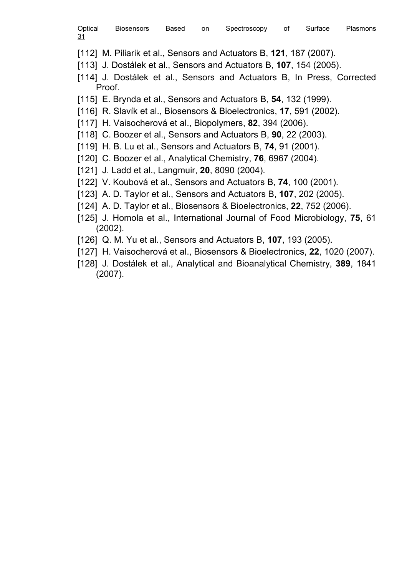| Optical | <b>Biosensors</b> | Based | on | Spectroscopy | οt | Surtace | Plasmons |
|---------|-------------------|-------|----|--------------|----|---------|----------|
| 31      |                   |       |    |              |    |         |          |

[112] M. Piliarik et al., Sensors and Actuators B, 121, 187 (2007).

- [113] J. Dostálek et al., Sensors and Actuators B, 107, 154 (2005).
- [114] J. Dostálek et al., Sensors and Actuators B, In Press, Corrected Proof.
- [115] E. Brynda et al., Sensors and Actuators B, **54**, 132 (1999).
- [116] R. Slavík et al., Biosensors & Bioelectronics, 17, 591 (2002).
- [117] H. Vaisocherová et al., Biopolymers, 82, 394 (2006).
- [118] C. Boozer et al., Sensors and Actuators B, 90, 22 (2003).
- [119] H. B. Lu et al., Sensors and Actuators B, 74, 91 (2001).
- [120] C. Boozer et al., Analytical Chemistry, **76**, 6967 (2004).
- [121] J. Ladd et al., Langmuir, **20**, 8090 (2004).
- [122] V. Koubová et al., Sensors and Actuators B, 74, 100 (2001).
- [123] A. D. Taylor et al., Sensors and Actuators B, **107**, 202 (2005).
- [124] A. D. Taylor et al., Biosensors & Bioelectronics, 22, 752 (2006).
- [125] J. Homola et al., International Journal of Food Microbiology, 75, 61 (2002).
- [126] Q. M. Yu et al., Sensors and Actuators B, **107**, 193 (2005).
- [127] H. Vaisocherová et al., Biosensors & Bioelectronics, 22, 1020 (2007).
- [128] J. Dostálek et al., Analytical and Bioanalytical Chemistry, 389, 1841 (2007).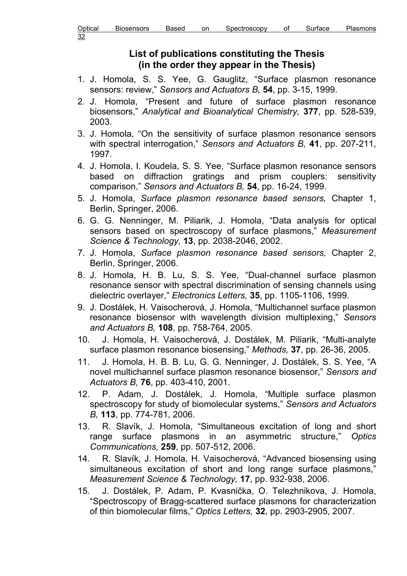## List of publications constituting the Thesis (in the order they appear in the Thesis)

- 1. J. Homola, S. S. Yee, G. Gauglitz, "Surface plasmon resonance sensors: review," Sensors and Actuators B, 54, pp. 3-15, 1999.
- 2. J. Homola, "Present and future of surface plasmon resonance biosensors," Analytical and Bioanalytical Chemistry, 377, pp. 528-539, 2003.
- 3. J. Homola, "On the sensitivity of surface plasmon resonance sensors with spectral interrogation," Sensors and Actuators B, 41, pp. 207-211, 1997.
- 4. J. Homola, I. Koudela, S. S. Yee, "Surface plasmon resonance sensors based on diffraction gratings and prism couplers: sensitivity comparison," Sensors and Actuators B, 54, pp. 16-24, 1999.
- 5. J. Homola, Surface plasmon resonance based sensors, Chapter 1, Berlin, Springer, 2006.
- 6. G. G. Nenninger, M. Piliarik, J. Homola, "Data analysis for optical sensors based on spectroscopy of surface plasmons," Measurement Science & Technology, 13, pp. 2038-2046, 2002.
- 7. J. Homola, Surface plasmon resonance based sensors, Chapter 2, Berlin, Springer, 2006.
- 8. J. Homola, H. B. Lu, S. S. Yee, "Dual-channel surface plasmon resonance sensor with spectral discrimination of sensing channels using dielectric overlayer," Electronics Letters, 35, pp. 1105-1106, 1999.
- 9. J. Dostálek, H. Vaisocherová, J. Homola, "Multichannel surface plasmon resonance biosensor with wavelength division multiplexing," Sensors and Actuators B, 108, pp. 758-764, 2005.
- 10. J. Homola, H. Vaisocherová, J. Dostálek, M. Piliarik, "Multi-analyte surface plasmon resonance biosensing," Methods, 37, pp. 26-36, 2005.
- 11. J. Homola, H. B. B. Lu, G. G. Nenninger, J. Dostálek, S. S. Yee, "A novel multichannel surface plasmon resonance biosensor," Sensors and Actuators B, 76, pp. 403-410, 2001.
- 12. P. Adam, J. Dostálek, J. Homola, "Multiple surface plasmon spectroscopy for study of biomolecular systems," Sensors and Actuators B, 113, pp. 774-781, 2006.
- 13. R. Slavík, J. Homola, "Simultaneous excitation of long and short range surface plasmons in an asymmetric structure," Optics Communications, 259, pp. 507-512, 2006.
- 14. R. Slavík, J. Homola, H. Vaisocherová, "Advanced biosensing using simultaneous excitation of short and long range surface plasmons," Measurement Science & Technology, 17, pp. 932-938, 2006.
- 15. J. Dostálek, P. Adam, P. Kvasnička, O. Telezhnikova, J. Homola, "Spectroscopy of Bragg-scattered surface plasmons for characterization of thin biomolecular films," Optics Letters, 32, pp. 2903-2905, 2007.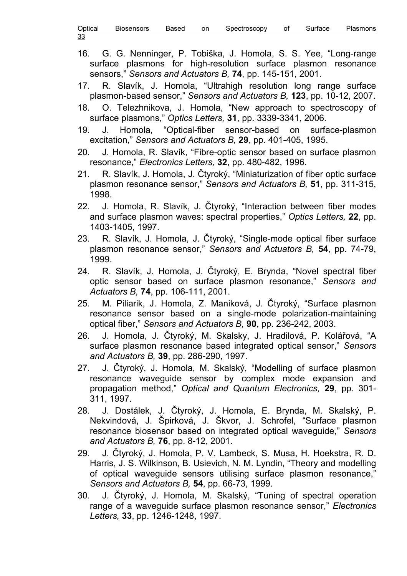Optical Biosensors Based on Spectroscopy of Surface Plasmons 33

- 16. G. G. Nenninger, P. Tobiška, J. Homola, S. S. Yee, "Long-range surface plasmons for high-resolution surface plasmon resonance sensors," Sensors and Actuators B, 74, pp. 145-151, 2001.
- 17. R. Slavík, J. Homola, "Ultrahigh resolution long range surface plasmon-based sensor," Sensors and Actuators B, 123, pp. 10-12, 2007.
- 18. O. Telezhnikova, J. Homola, "New approach to spectroscopy of surface plasmons," Optics Letters, 31, pp. 3339-3341, 2006.
- 19. J. Homola, "Optical-fiber sensor-based on surface-plasmon excitation," Sensors and Actuators B, 29, pp. 401-405, 1995.
- 20. J. Homola, R. Slavík, "Fibre-optic sensor based on surface plasmon resonance," Electronics Letters, 32, pp. 480-482, 1996.
- 21. R. Slavík, J. Homola, J. Čtyroký, "Miniaturization of fiber optic surface plasmon resonance sensor," Sensors and Actuators B, 51, pp. 311-315, 1998.
- 22. J. Homola, R. Slavík, J. Čtyroký, "Interaction between fiber modes and surface plasmon waves: spectral properties," Optics Letters, 22, pp. 1403-1405, 1997.
- 23. R. Slavík, J. Homola, J. Čtyroký, "Single-mode optical fiber surface plasmon resonance sensor," Sensors and Actuators B, 54, pp. 74-79, 1999.
- 24. R. Slavík, J. Homola, J. Čtyroký, E. Brynda, "Novel spectral fiber optic sensor based on surface plasmon resonance," Sensors and Actuators B, 74, pp. 106-111, 2001.
- 25. M. Piliarik, J. Homola, Z. Maniková, J. Čtyroký, "Surface plasmon resonance sensor based on a single-mode polarization-maintaining optical fiber," Sensors and Actuators B, 90, pp. 236-242, 2003.
- 26. J. Homola, J. Čtyroký, M. Skalsky, J. Hradilová, P. Kolářová, "A surface plasmon resonance based integrated optical sensor," Sensors and Actuators B, 39, pp. 286-290, 1997.
- 27. J. Čtyroký, J. Homola, M. Skalský, "Modelling of surface plasmon resonance waveguide sensor by complex mode expansion and propagation method," Optical and Quantum Electronics, 29, pp. 301- 311, 1997.
- 28. J. Dostálek, J. Čtyroký, J. Homola, E. Brynda, M. Skalský, P. Nekvindová, J. Špirková, J. Škvor, J. Schrofel, "Surface plasmon resonance biosensor based on integrated optical waveguide," Sensors and Actuators B, 76, pp. 8-12, 2001.
- 29. J. Čtyroký, J. Homola, P. V. Lambeck, S. Musa, H. Hoekstra, R. D. Harris, J. S. Wilkinson, B. Usievich, N. M. Lyndin, "Theory and modelling of optical waveguide sensors utilising surface plasmon resonance," Sensors and Actuators B, 54, pp. 66-73, 1999.
- 30. J. Čtyroký, J. Homola, M. Skalský, "Tuning of spectral operation range of a waveguide surface plasmon resonance sensor," Electronics Letters, 33, pp. 1246-1248, 1997.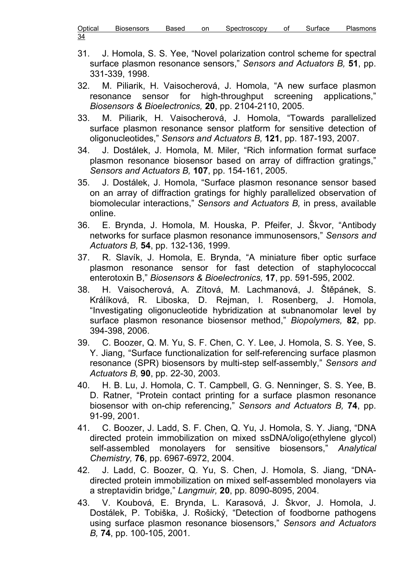| Optical    | <b>Biosensors</b> | Based | on | Spectroscopy | οt | Surface | Plasmons |
|------------|-------------------|-------|----|--------------|----|---------|----------|
| 34<br>____ |                   |       |    |              |    |         |          |

- 31. J. Homola, S. S. Yee, "Novel polarization control scheme for spectral surface plasmon resonance sensors," Sensors and Actuators B, 51, pp. 331-339, 1998.
- 32. M. Piliarik, H. Vaisocherová, J. Homola, "A new surface plasmon resonance sensor for high-throughput screening applications," Biosensors & Bioelectronics, 20, pp. 2104-2110, 2005.
- 33. M. Piliarik, H. Vaisocherová, J. Homola, "Towards parallelized surface plasmon resonance sensor platform for sensitive detection of oligonucleotides," Sensors and Actuators B, 121, pp. 187-193, 2007.
- 34. J. Dostálek, J. Homola, M. Miler, "Rich information format surface plasmon resonance biosensor based on array of diffraction gratings," Sensors and Actuators B, 107, pp. 154-161, 2005.
- 35. J. Dostálek, J. Homola, "Surface plasmon resonance sensor based on an array of diffraction gratings for highly parallelized observation of biomolecular interactions," Sensors and Actuators B, in press, available online.
- 36. E. Brynda, J. Homola, M. Houska, P. Pfeifer, J. Škvor, "Antibody networks for surface plasmon resonance immunosensors," Sensors and Actuators B, 54, pp. 132-136, 1999.
- 37. R. Slavík, J. Homola, E. Brynda, "A miniature fiber optic surface plasmon resonance sensor for fast detection of staphylococcal enterotoxin B," Biosensors & Bioelectronics, 17, pp. 591-595, 2002.
- 38. H. Vaisocherová, A. Zítová, M. Lachmanová, J. Štěpánek, S. Králíková, R. Liboska, D. Rejman, I. Rosenberg, J. Homola, "Investigating oligonucleotide hybridization at subnanomolar level by surface plasmon resonance biosensor method," Biopolymers, 82, pp. 394-398, 2006.
- 39. C. Boozer, Q. M. Yu, S. F. Chen, C. Y. Lee, J. Homola, S. S. Yee, S. Y. Jiang, "Surface functionalization for self-referencing surface plasmon resonance (SPR) biosensors by multi-step self-assembly," Sensors and Actuators B, 90, pp. 22-30, 2003.
- 40. H. B. Lu, J. Homola, C. T. Campbell, G. G. Nenninger, S. S. Yee, B. D. Ratner, "Protein contact printing for a surface plasmon resonance biosensor with on-chip referencing," Sensors and Actuators B, 74, pp. 91-99, 2001.
- 41. C. Boozer, J. Ladd, S. F. Chen, Q. Yu, J. Homola, S. Y. Jiang, "DNA directed protein immobilization on mixed ssDNA/oligo(ethylene glycol) self-assembled monolayers for sensitive biosensors," Analytical Chemistry, 76, pp. 6967-6972, 2004.
- 42. J. Ladd, C. Boozer, Q. Yu, S. Chen, J. Homola, S. Jiang, "DNAdirected protein immobilization on mixed self-assembled monolayers via a streptavidin bridge," Langmuir, 20, pp. 8090-8095, 2004.
- 43. V. Koubová, E. Brynda, L. Karasová, J. Škvor, J. Homola, J. Dostálek, P. Tobiška, J. Rošický, "Detection of foodborne pathogens using surface plasmon resonance biosensors," Sensors and Actuators B, 74, pp. 100-105, 2001.